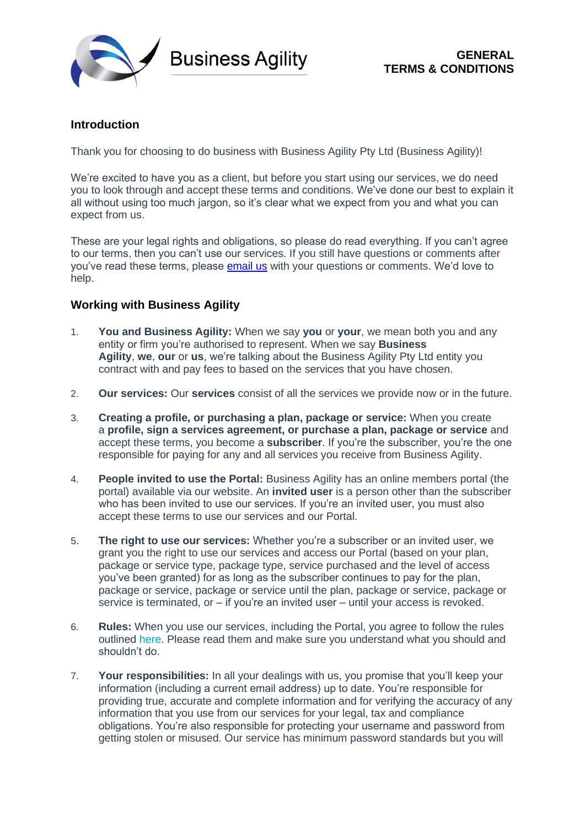

# **Introduction**

Thank you for choosing to do business with Business Agility Pty Ltd (Business Agility)!

We're excited to have you as a client, but before you start using our services, we do need you to look through and accept these terms and conditions. We've done our best to explain it all without using too much jargon, so it's clear what we expect from you and what you can expect from us.

These are your legal rights and obligations, so please do read everything. If you can't agree to our terms, then you can't use our services. If you still have questions or comments after you've read these terms, please [email us](mailto:hello@businessagility.net.au?subject=Member%20Portal%20User%20Terms%20&%20Conditions%20question%20/%20comment) with your questions or comments. We'd love to help.

### **Working with Business Agility**

- 1. **You and Business Agility:** When we say **you** or **your**, we mean both you and any entity or firm you're authorised to represent. When we say **Business Agility**, **we**, **our** or **us**, we're talking about the Business Agility Pty Ltd entity you contract with and pay fees to based on the services that you have chosen.
- 2. **Our services:** Our **services** consist of all the services we provide now or in the future.
- 3. **Creating a profile, or purchasing a plan, package or service:** When you create a **profile, sign a services agreement, or purchase a plan, package or service** and accept these terms, you become a **subscriber**. If you're the subscriber, you're the one responsible for paying for any and all services you receive from Business Agility.
- 4. **People invited to use the Portal:** Business Agility has an online members portal (the portal) available via our website. An **invited user** is a person other than the subscriber who has been invited to use our services. If you're an invited user, you must also accept these terms to use our services and our Portal.
- 5. **The right to use our services:** Whether you're a subscriber or an invited user, we grant you the right to use our services and access our Portal (based on your plan, package or service type, package type, service purchased and the level of access you've been granted) for as long as the subscriber continues to pay for the plan, package or service, package or service until the plan, package or service, package or service is terminated, or – if you're an invited user – until your access is revoked.
- 6. **Rules:** When you use our services, including the Portal, you agree to follow the rules outlined [here.](#page-4-0) Please read them and make sure you understand what you should and shouldn't do.
- 7. **Your responsibilities:** In all your dealings with us, you promise that you'll keep your information (including a current email address) up to date. You're responsible for providing true, accurate and complete information and for verifying the accuracy of any information that you use from our services for your legal, tax and compliance obligations. You're also responsible for protecting your username and password from getting stolen or misused. Our service has minimum password standards but you will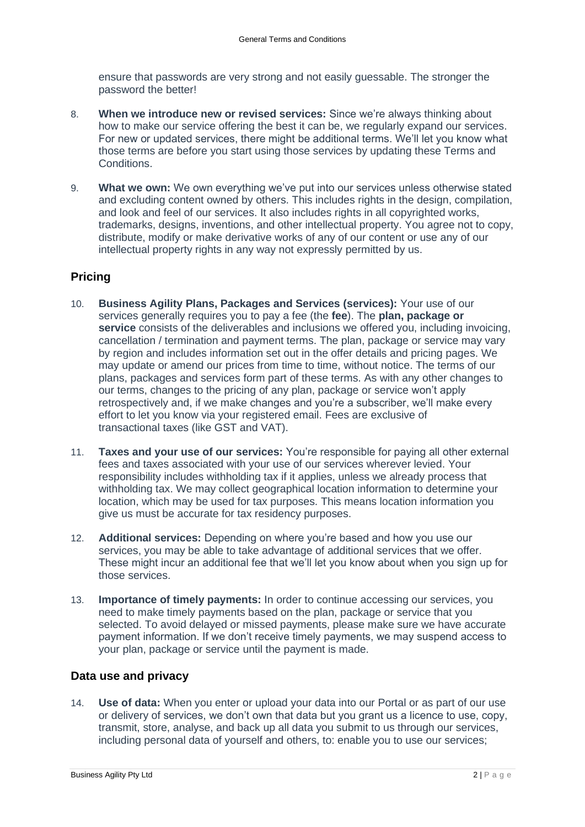ensure that passwords are very strong and not easily guessable. The stronger the password the better!

- 8. **When we introduce new or revised services:** Since we're always thinking about how to make our service offering the best it can be, we regularly expand our services. For new or updated services, there might be additional terms. We'll let you know what those terms are before you start using those services by updating these Terms and Conditions.
- 9. **What we own:** We own everything we've put into our services unless otherwise stated and excluding content owned by others. This includes rights in the design, compilation, and look and feel of our services. It also includes rights in all copyrighted works, trademarks, designs, inventions, and other intellectual property. You agree not to copy, distribute, modify or make derivative works of any of our content or use any of our intellectual property rights in any way not expressly permitted by us.

# **Pricing**

- 10. **Business Agility Plans, Packages and Services (services):** Your use of our services generally requires you to pay a fee (the **fee**). The **plan, package or service** consists of the deliverables and inclusions we offered you, including invoicing, cancellation / termination and payment terms. The plan, package or service may vary by region and includes information set out in the offer details and pricing pages. We may update or amend our prices from time to time, without notice. The terms of our plans, packages and services form part of these terms. As with any other changes to our terms, changes to the pricing of any plan, package or service won't apply retrospectively and, if we make changes and you're a subscriber, we'll make every effort to let you know via your registered email. Fees are exclusive of transactional taxes (like GST and VAT).
- 11. **Taxes and your use of our services:** You're responsible for paying all other external fees and taxes associated with your use of our services wherever levied. Your responsibility includes withholding tax if it applies, unless we already process that withholding tax. We may collect geographical location information to determine your location, which may be used for tax purposes. This means location information you give us must be accurate for tax residency purposes.
- 12. **Additional services:** Depending on where you're based and how you use our services, you may be able to take advantage of additional services that we offer. These might incur an additional fee that we'll let you know about when you sign up for those services.
- 13. **Importance of timely payments:** In order to continue accessing our services, you need to make timely payments based on the plan, package or service that you selected. To avoid delayed or missed payments, please make sure we have accurate payment information. If we don't receive timely payments, we may suspend access to your plan, package or service until the payment is made.

## **Data use and privacy**

14. **Use of data:** When you enter or upload your data into our Portal or as part of our use or delivery of services, we don't own that data but you grant us a licence to use, copy, transmit, store, analyse, and back up all data you submit to us through our services, including personal data of yourself and others, to: enable you to use our services;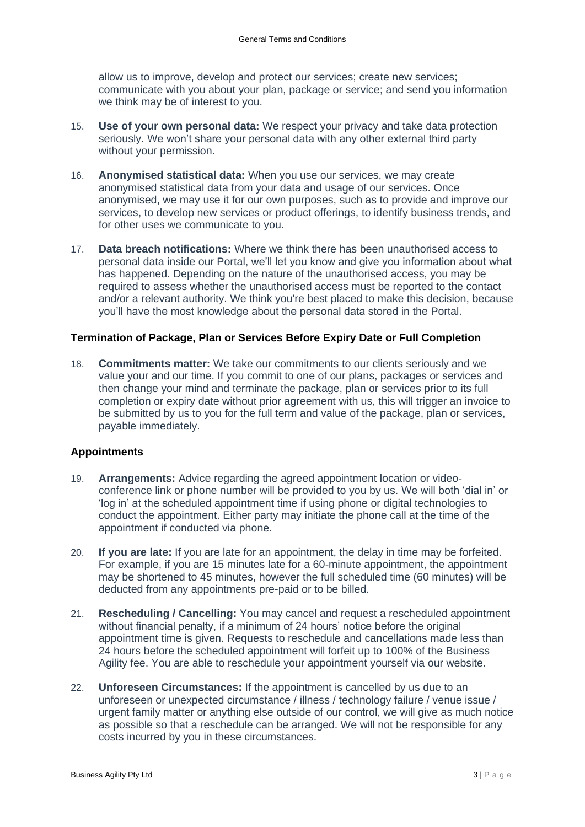allow us to improve, develop and protect our services; create new services; communicate with you about your plan, package or service; and send you information we think may be of interest to you.

- 15. **Use of your own personal data:** We respect your privacy and take data protection seriously. We won't share your personal data with any other external third party without your permission.
- 16. **Anonymised statistical data:** When you use our services, we may create anonymised statistical data from your data and usage of our services. Once anonymised, we may use it for our own purposes, such as to provide and improve our services, to develop new services or product offerings, to identify business trends, and for other uses we communicate to you.
- 17. **Data breach notifications:** Where we think there has been unauthorised access to personal data inside our Portal, we'll let you know and give you information about what has happened. Depending on the nature of the unauthorised access, you may be required to assess whether the unauthorised access must be reported to the contact and/or a relevant authority. We think you're best placed to make this decision, because you'll have the most knowledge about the personal data stored in the Portal.

### **Termination of Package, Plan or Services Before Expiry Date or Full Completion**

18. **Commitments matter:** We take our commitments to our clients seriously and we value your and our time. If you commit to one of our plans, packages or services and then change your mind and terminate the package, plan or services prior to its full completion or expiry date without prior agreement with us, this will trigger an invoice to be submitted by us to you for the full term and value of the package, plan or services, payable immediately.

#### **Appointments**

- 19. **Arrangements:** Advice regarding the agreed appointment location or videoconference link or phone number will be provided to you by us. We will both 'dial in' or 'log in' at the scheduled appointment time if using phone or digital technologies to conduct the appointment. Either party may initiate the phone call at the time of the appointment if conducted via phone.
- 20. **If you are late:** If you are late for an appointment, the delay in time may be forfeited. For example, if you are 15 minutes late for a 60-minute appointment, the appointment may be shortened to 45 minutes, however the full scheduled time (60 minutes) will be deducted from any appointments pre-paid or to be billed.
- 21. **Rescheduling / Cancelling:** You may cancel and request a rescheduled appointment without financial penalty, if a minimum of 24 hours' notice before the original appointment time is given. Requests to reschedule and cancellations made less than 24 hours before the scheduled appointment will forfeit up to 100% of the Business Agility fee. You are able to reschedule your appointment yourself via our website.
- 22. **Unforeseen Circumstances:** If the appointment is cancelled by us due to an unforeseen or unexpected circumstance / illness / technology failure / venue issue / urgent family matter or anything else outside of our control, we will give as much notice as possible so that a reschedule can be arranged. We will not be responsible for any costs incurred by you in these circumstances.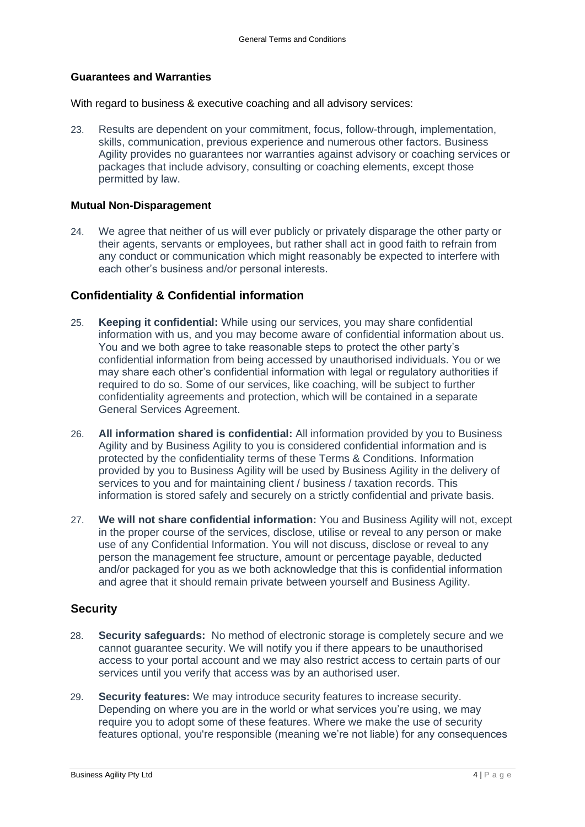#### **Guarantees and Warranties**

With regard to business & executive coaching and all advisory services:

23. Results are dependent on your commitment, focus, follow-through, implementation, skills, communication, previous experience and numerous other factors. Business Agility provides no guarantees nor warranties against advisory or coaching services or packages that include advisory, consulting or coaching elements, except those permitted by law.

#### **Mutual Non-Disparagement**

24. We agree that neither of us will ever publicly or privately disparage the other party or their agents, servants or employees, but rather shall act in good faith to refrain from any conduct or communication which might reasonably be expected to interfere with each other's business and/or personal interests.

### **Confidentiality & Confidential information**

- 25. **Keeping it confidential:** While using our services, you may share confidential information with us, and you may become aware of confidential information about us. You and we both agree to take reasonable steps to protect the other party's confidential information from being accessed by unauthorised individuals. You or we may share each other's confidential information with legal or regulatory authorities if required to do so. Some of our services, like coaching, will be subject to further confidentiality agreements and protection, which will be contained in a separate General Services Agreement.
- 26. **All information shared is confidential:** All information provided by you to Business Agility and by Business Agility to you is considered confidential information and is protected by the confidentiality terms of these Terms & Conditions. Information provided by you to Business Agility will be used by Business Agility in the delivery of services to you and for maintaining client / business / taxation records. This information is stored safely and securely on a strictly confidential and private basis.
- 27. **We will not share confidential information:** You and Business Agility will not, except in the proper course of the services, disclose, utilise or reveal to any person or make use of any Confidential Information. You will not discuss, disclose or reveal to any person the management fee structure, amount or percentage payable, deducted and/or packaged for you as we both acknowledge that this is confidential information and agree that it should remain private between yourself and Business Agility.

## **Security**

- 28. **Security safeguards:** No method of electronic storage is completely secure and we cannot guarantee security. We will notify you if there appears to be unauthorised access to your portal account and we may also restrict access to certain parts of our services until you verify that access was by an authorised user.
- 29. **Security features:** We may introduce security features to increase security. Depending on where you are in the world or what services you're using, we may require you to adopt some of these features. Where we make the use of security features optional, you're responsible (meaning we're not liable) for any consequences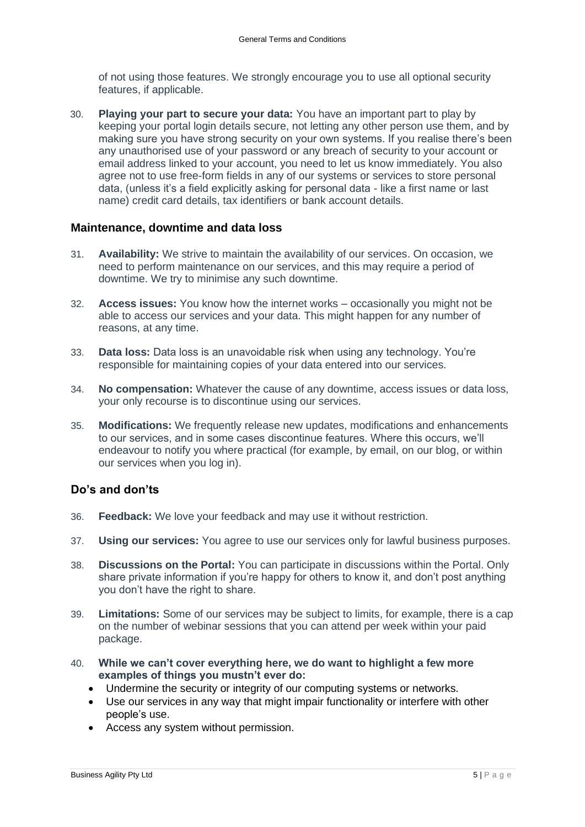of not using those features. We strongly encourage you to use all optional security features, if applicable.

30. **Playing your part to secure your data:** You have an important part to play by keeping your portal login details secure, not letting any other person use them, and by making sure you have strong security on your own systems. If you realise there's been any unauthorised use of your password or any breach of security to your account or email address linked to your account, you need to let us know immediately. You also agree not to use free-form fields in any of our systems or services to store personal data, (unless it's a field explicitly asking for personal data - like a first name or last name) credit card details, tax identifiers or bank account details.

### **Maintenance, downtime and data loss**

- 31. **Availability:** We strive to maintain the availability of our services. On occasion, we need to perform maintenance on our services, and this may require a period of downtime. We try to minimise any such downtime.
- 32. **Access issues:** You know how the internet works occasionally you might not be able to access our services and your data. This might happen for any number of reasons, at any time.
- 33. **Data loss:** Data loss is an unavoidable risk when using any technology. You're responsible for maintaining copies of your data entered into our services.
- 34. **No compensation:** Whatever the cause of any downtime, access issues or data loss, your only recourse is to discontinue using our services.
- 35. **Modifications:** We frequently release new updates, modifications and enhancements to our services, and in some cases discontinue features. Where this occurs, we'll endeavour to notify you where practical (for example, by email, on our blog, or within our services when you log in).

## <span id="page-4-0"></span>**Do's and don'ts**

- 36. **Feedback:** We love your feedback and may use it without restriction.
- 37. **Using our services:** You agree to use our services only for lawful business purposes.
- 38. **Discussions on the Portal:** You can participate in discussions within the Portal. Only share private information if you're happy for others to know it, and don't post anything you don't have the right to share.
- 39. **Limitations:** Some of our services may be subject to limits, for example, there is a cap on the number of webinar sessions that you can attend per week within your paid package.
- 40. **While we can't cover everything here, we do want to highlight a few more examples of things you mustn't ever do:**
	- Undermine the security or integrity of our computing systems or networks.
	- Use our services in any way that might impair functionality or interfere with other people's use.
	- Access any system without permission.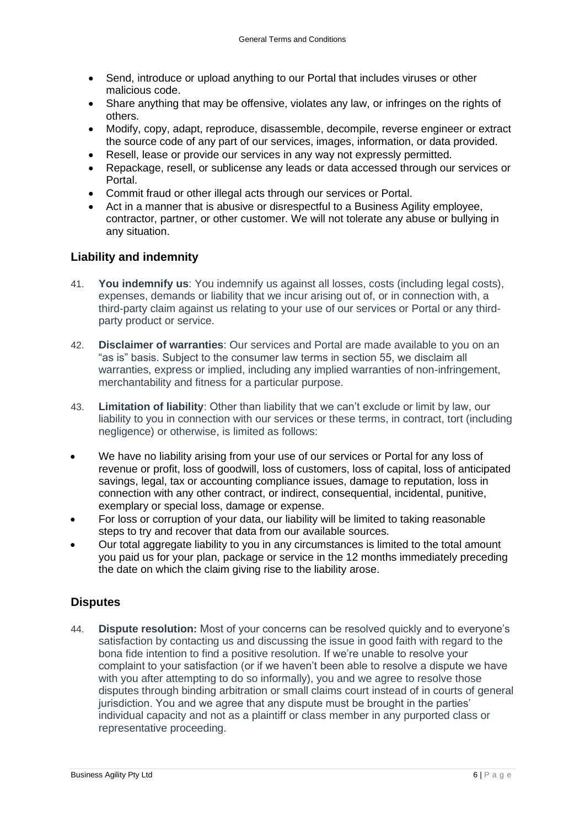- Send, introduce or upload anything to our Portal that includes viruses or other malicious code.
- Share anything that may be offensive, violates any law, or infringes on the rights of others.
- Modify, copy, adapt, reproduce, disassemble, decompile, reverse engineer or extract the source code of any part of our services, images, information, or data provided.
- Resell, lease or provide our services in any way not expressly permitted.
- Repackage, resell, or sublicense any leads or data accessed through our services or Portal.
- Commit fraud or other illegal acts through our services or Portal.
- Act in a manner that is abusive or disrespectful to a Business Agility employee, contractor, partner, or other customer. We will not tolerate any abuse or bullying in any situation.

# **Liability and indemnity**

- 41. **You indemnify us**: You indemnify us against all losses, costs (including legal costs), expenses, demands or liability that we incur arising out of, or in connection with, a third-party claim against us relating to your use of our services or Portal or any thirdparty product or service.
- 42. **Disclaimer of warranties**: Our services and Portal are made available to you on an "as is" basis. Subject to the consumer law terms in section 55, we disclaim all warranties, express or implied, including any implied warranties of non-infringement, merchantability and fitness for a particular purpose.
- 43. **Limitation of liability**: Other than liability that we can't exclude or limit by law, our liability to you in connection with our services or these terms, in contract, tort (including negligence) or otherwise, is limited as follows:
- We have no liability arising from your use of our services or Portal for any loss of revenue or profit, loss of goodwill, loss of customers, loss of capital, loss of anticipated savings, legal, tax or accounting compliance issues, damage to reputation, loss in connection with any other contract, or indirect, consequential, incidental, punitive, exemplary or special loss, damage or expense.
- For loss or corruption of your data, our liability will be limited to taking reasonable steps to try and recover that data from our available sources.
- Our total aggregate liability to you in any circumstances is limited to the total amount you paid us for your plan, package or service in the 12 months immediately preceding the date on which the claim giving rise to the liability arose.

# **Disputes**

44. **Dispute resolution:** Most of your concerns can be resolved quickly and to everyone's satisfaction by contacting us and discussing the issue in good faith with regard to the bona fide intention to find a positive resolution. If we're unable to resolve your complaint to your satisfaction (or if we haven't been able to resolve a dispute we have with you after attempting to do so informally), you and we agree to resolve those disputes through binding arbitration or small claims court instead of in courts of general jurisdiction. You and we agree that any dispute must be brought in the parties' individual capacity and not as a plaintiff or class member in any purported class or representative proceeding.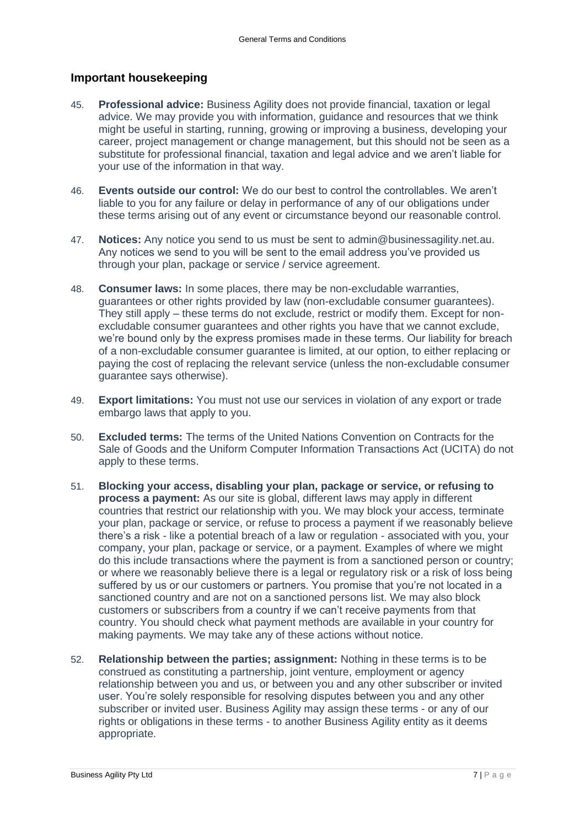## **Important housekeeping**

- 45. **Professional advice:** Business Agility does not provide financial, taxation or legal advice. We may provide you with information, guidance and resources that we think might be useful in starting, running, growing or improving a business, developing your career, project management or change management, but this should not be seen as a substitute for professional financial, taxation and legal advice and we aren't liable for your use of the information in that way.
- 46. **Events outside our control:** We do our best to control the controllables. We aren't liable to you for any failure or delay in performance of any of our obligations under these terms arising out of any event or circumstance beyond our reasonable control.
- 47. **Notices:** Any notice you send to us must be sent to admin@businessagility.net.au. Any notices we send to you will be sent to the email address you've provided us through your plan, package or service / service agreement.
- 48. **Consumer laws:** In some places, there may be non-excludable warranties, guarantees or other rights provided by law (non-excludable consumer guarantees). They still apply – these terms do not exclude, restrict or modify them. Except for nonexcludable consumer guarantees and other rights you have that we cannot exclude, we're bound only by the express promises made in these terms. Our liability for breach of a non-excludable consumer guarantee is limited, at our option, to either replacing or paying the cost of replacing the relevant service (unless the non-excludable consumer guarantee says otherwise).
- 49. **Export limitations:** You must not use our services in violation of any export or trade embargo laws that apply to you.
- 50. **Excluded terms:** The terms of the United Nations Convention on Contracts for the Sale of Goods and the Uniform Computer Information Transactions Act (UCITA) do not apply to these terms.
- 51. **Blocking your access, disabling your plan, package or service, or refusing to process a payment:** As our site is global, different laws may apply in different countries that restrict our relationship with you. We may block your access, terminate your plan, package or service, or refuse to process a payment if we reasonably believe there's a risk - like a potential breach of a law or regulation - associated with you, your company, your plan, package or service, or a payment. Examples of where we might do this include transactions where the payment is from a sanctioned person or country; or where we reasonably believe there is a legal or regulatory risk or a risk of loss being suffered by us or our customers or partners. You promise that you're not located in a sanctioned country and are not on a sanctioned persons list. We may also block customers or subscribers from a country if we can't receive payments from that country. You should check what payment methods are available in your country for making payments. We may take any of these actions without notice.
- 52. **Relationship between the parties; assignment:** Nothing in these terms is to be construed as constituting a partnership, joint venture, employment or agency relationship between you and us, or between you and any other subscriber or invited user. You're solely responsible for resolving disputes between you and any other subscriber or invited user. Business Agility may assign these terms - or any of our rights or obligations in these terms - to another Business Agility entity as it deems appropriate.